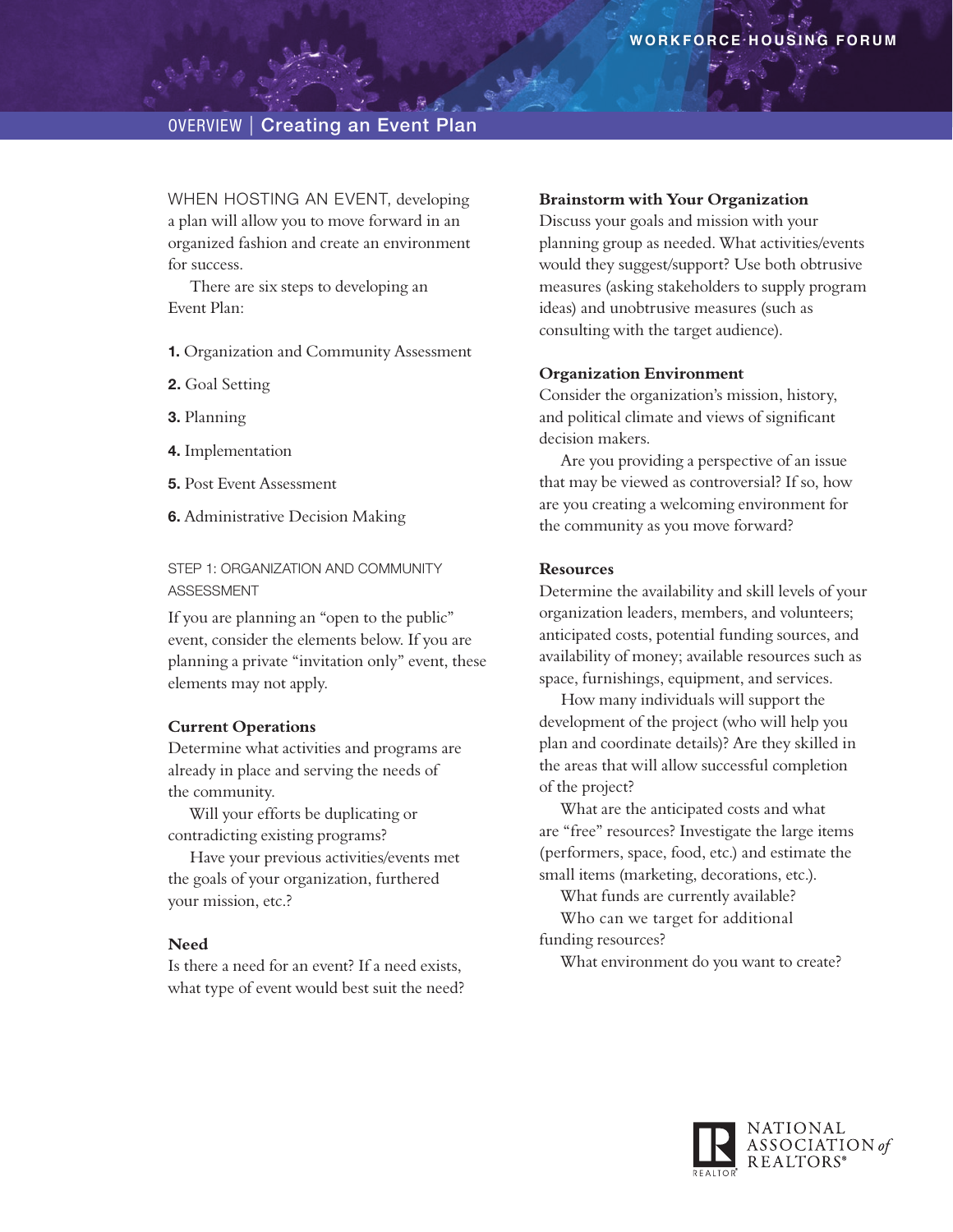# **OVERVIEW | Creating an Event Plan**

WHEN HOSTING AN EVENT, developing a plan will allow you to move forward in an organized fashion and create an environment for success.

There are six steps to developing an Event Plan:

**1.** Organization and Community Assessment

- **2.** Goal Setting
- **3.** Planning
- **4.** Implementation
- **5.** Post Event Assessment
- **6.** Administrative Decision Making

STEP 1: ORGANIZATION AND COMMUNITY Assessment

If you are planning an "open to the public" event, consider the elements below. If you are planning a private "invitation only" event, these elements may not apply.

## **Current Operations**

Determine what activities and programs are already in place and serving the needs of the community.

Will your efforts be duplicating or contradicting existing programs?

Have your previous activities/events met the goals of your organization, furthered your mission, etc.?

#### **Need**

Is there a need for an event? If a need exists, what type of event would best suit the need?

#### **Brainstorm with Your Organization**

Discuss your goals and mission with your planning group as needed. What activities/events would they suggest/support? Use both obtrusive measures (asking stakeholders to supply program ideas) and unobtrusive measures (such as consulting with the target audience).

#### **Organization Environment**

Consider the organization's mission, history, and political climate and views of significant decision makers.

Are you providing a perspective of an issue that may be viewed as controversial? If so, how are you creating a welcoming environment for the community as you move forward?

#### **Resources**

Determine the availability and skill levels of your organization leaders, members, and volunteers; anticipated costs, potential funding sources, and availability of money; available resources such as space, furnishings, equipment, and services.

How many individuals will support the development of the project (who will help you plan and coordinate details)? Are they skilled in the areas that will allow successful completion of the project?

What are the anticipated costs and what are "free" resources? Investigate the large items (performers, space, food, etc.) and estimate the small items (marketing, decorations, etc.).

What funds are currently available?

Who can we target for additional

funding resources?

What environment do you want to create?

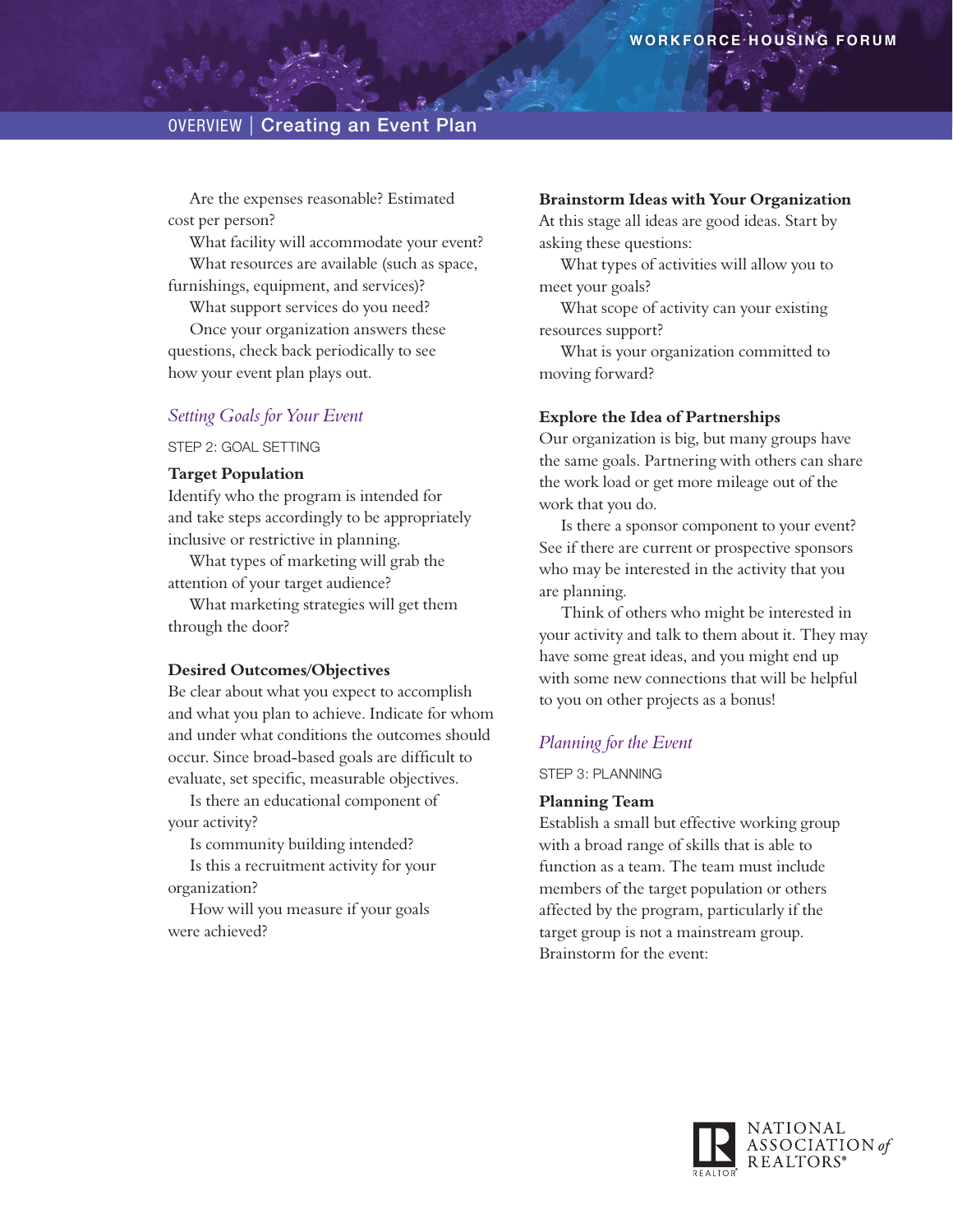Are the expenses reasonable? Estimated cost per person?

What facility will accommodate your event? What resources are available (such as space,

furnishings, equipment, and services)? What support services do you need?

Once your organization answers these questions, check back periodically to see how your event plan plays out.

## *Setting Goals for Your Event*

STEP 2: GOAL SETTING

## **Target Population**

Identify who the program is intended for and take steps accordingly to be appropriately inclusive or restrictive in planning.

What types of marketing will grab the attention of your target audience?

What marketing strategies will get them through the door?

### **Desired Outcomes/Objectives**

Be clear about what you expect to accomplish and what you plan to achieve. Indicate for whom and under what conditions the outcomes should occur. Since broad-based goals are difficult to evaluate, set specific, measurable objectives.

Is there an educational component of your activity?

Is community building intended?

Is this a recruitment activity for your organization?

How will you measure if your goals were achieved?

#### **Brainstorm Ideas with Your Organization**

At this stage all ideas are good ideas. Start by asking these questions:

What types of activities will allow you to meet your goals?

What scope of activity can your existing resources support?

What is your organization committed to moving forward?

#### **Explore the Idea of Partnerships**

Our organization is big, but many groups have the same goals. Partnering with others can share the work load or get more mileage out of the work that you do.

Is there a sponsor component to your event? See if there are current or prospective sponsors who may be interested in the activity that you are planning.

Think of others who might be interested in your activity and talk to them about it. They may have some great ideas, and you might end up with some new connections that will be helpful to you on other projects as a bonus!

## *Planning for the Event*

## Step 3: Planning

### **Planning Team**

Establish a small but effective working group with a broad range of skills that is able to function as a team. The team must include members of the target population or others affected by the program, particularly if the target group is not a mainstream group. Brainstorm for the event:

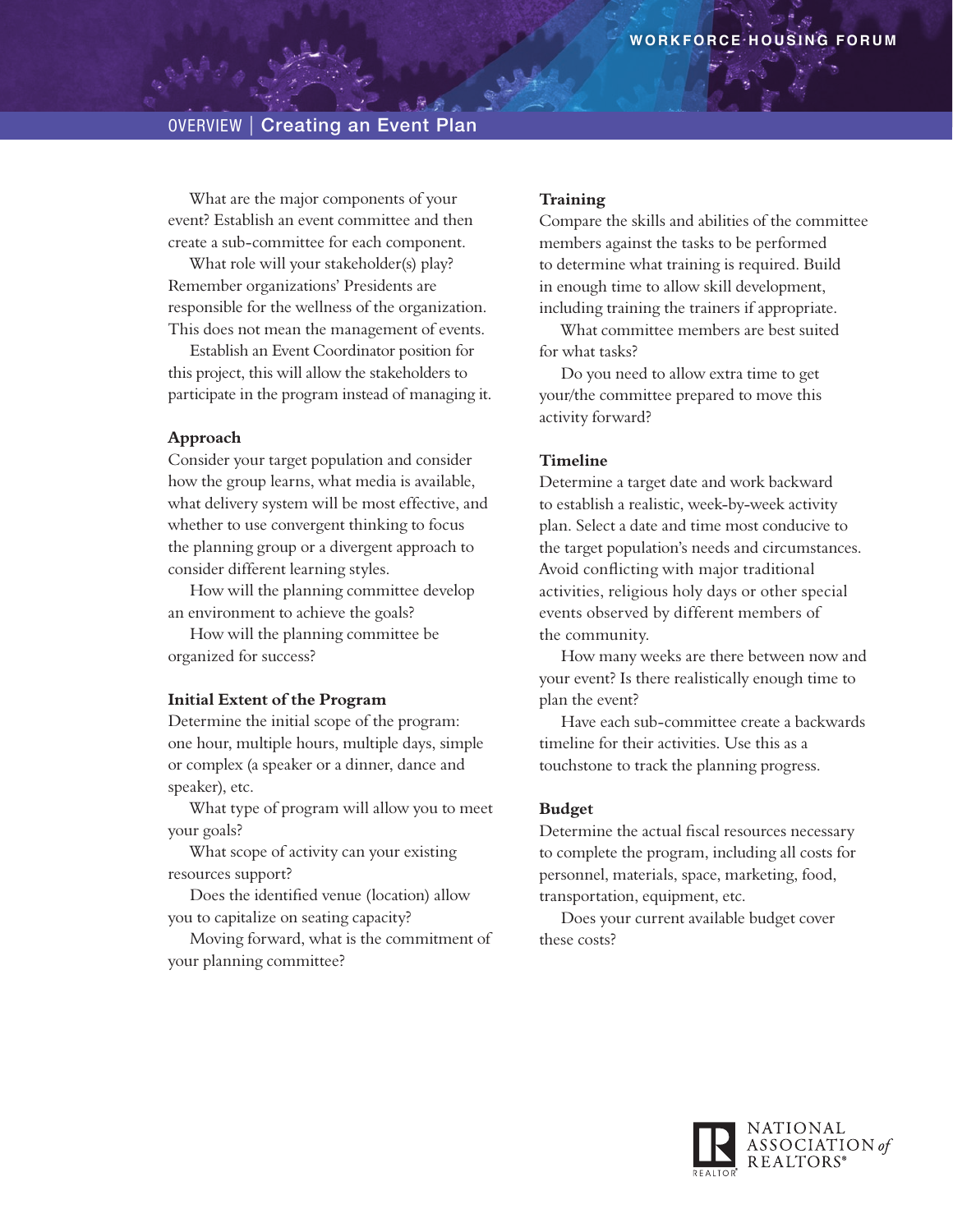What are the major components of your event? Establish an event committee and then create a sub-committee for each component.

What role will your stakeholder(s) play? Remember organizations' Presidents are responsible for the wellness of the organization. This does not mean the management of events.

Establish an Event Coordinator position for this project, this will allow the stakeholders to participate in the program instead of managing it.

## **Approach**

Consider your target population and consider how the group learns, what media is available, what delivery system will be most effective, and whether to use convergent thinking to focus the planning group or a divergent approach to consider different learning styles.

How will the planning committee develop an environment to achieve the goals?

How will the planning committee be organized for success?

#### **Initial Extent of the Program**

Determine the initial scope of the program: one hour, multiple hours, multiple days, simple or complex (a speaker or a dinner, dance and speaker), etc.

What type of program will allow you to meet your goals?

What scope of activity can your existing resources support?

Does the identified venue (location) allow you to capitalize on seating capacity?

Moving forward, what is the commitment of your planning committee?

#### **Training**

Compare the skills and abilities of the committee members against the tasks to be performed to determine what training is required. Build in enough time to allow skill development, including training the trainers if appropriate.

What committee members are best suited for what tasks?

Do you need to allow extra time to get your/the committee prepared to move this activity forward?

## **Timeline**

Determine a target date and work backward to establish a realistic, week-by-week activity plan. Select a date and time most conducive to the target population's needs and circumstances. Avoid conflicting with major traditional activities, religious holy days or other special events observed by different members of the community.

How many weeks are there between now and your event? Is there realistically enough time to plan the event?

Have each sub-committee create a backwards timeline for their activities. Use this as a touchstone to track the planning progress.

### **Budget**

Determine the actual fiscal resources necessary to complete the program, including all costs for personnel, materials, space, marketing, food, transportation, equipment, etc.

Does your current available budget cover these costs?

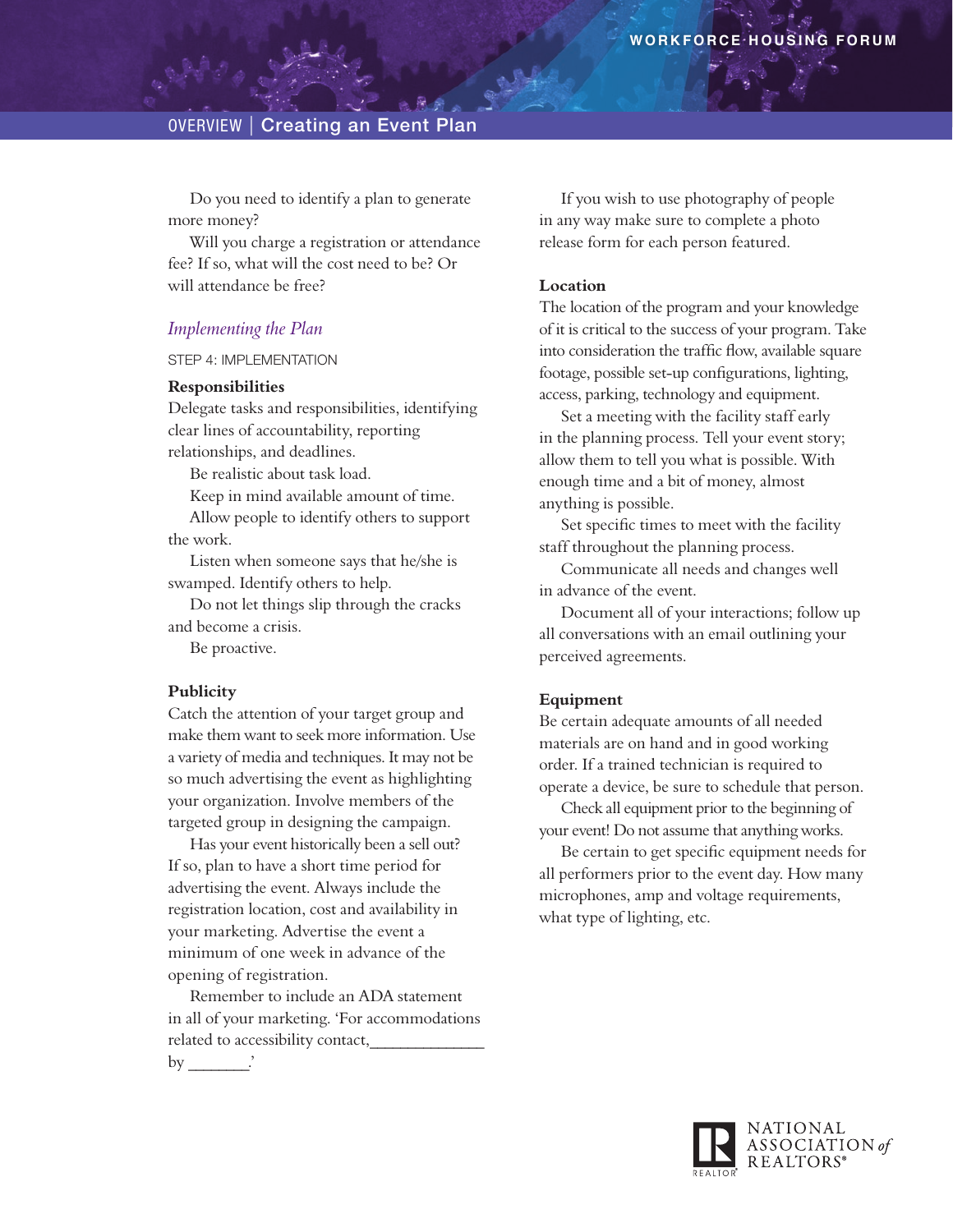Do you need to identify a plan to generate more money?

Will you charge a registration or attendance fee? If so, what will the cost need to be? Or will attendance be free?

## *Implementing the Plan*

#### Step 4: Implementation

## **Responsibilities**

Delegate tasks and responsibilities, identifying clear lines of accountability, reporting relationships, and deadlines.

Be realistic about task load.

Keep in mind available amount of time.

Allow people to identify others to support the work.

Listen when someone says that he/she is swamped. Identify others to help.

Do not let things slip through the cracks and become a crisis.

Be proactive.

## **Publicity**

Catch the attention of your target group and make them want to seek more information. Use a variety of media and techniques. It may not be so much advertising the event as highlighting your organization. Involve members of the targeted group in designing the campaign.

Has your event historically been a sell out? If so, plan to have a short time period for advertising the event. Always include the registration location, cost and availability in your marketing. Advertise the event a minimum of one week in advance of the opening of registration.

Remember to include an ADA statement in all of your marketing. 'For accommodations related to accessibility contact,

by  $\qquad$ 

If you wish to use photography of people in any way make sure to complete a photo release form for each person featured.

## **Location**

The location of the program and your knowledge of it is critical to the success of your program. Take into consideration the traffic flow, available square footage, possible set-up configurations, lighting, access, parking, technology and equipment.

Set a meeting with the facility staff early in the planning process. Tell your event story; allow them to tell you what is possible. With enough time and a bit of money, almost anything is possible.

Set specific times to meet with the facility staff throughout the planning process.

Communicate all needs and changes well in advance of the event.

Document all of your interactions; follow up all conversations with an email outlining your perceived agreements.

## **Equipment**

Be certain adequate amounts of all needed materials are on hand and in good working order. If a trained technician is required to operate a device, be sure to schedule that person.

Check all equipment prior to the beginning of your event! Do not assume that anything works.

Be certain to get specific equipment needs for all performers prior to the event day. How many microphones, amp and voltage requirements, what type of lighting, etc.

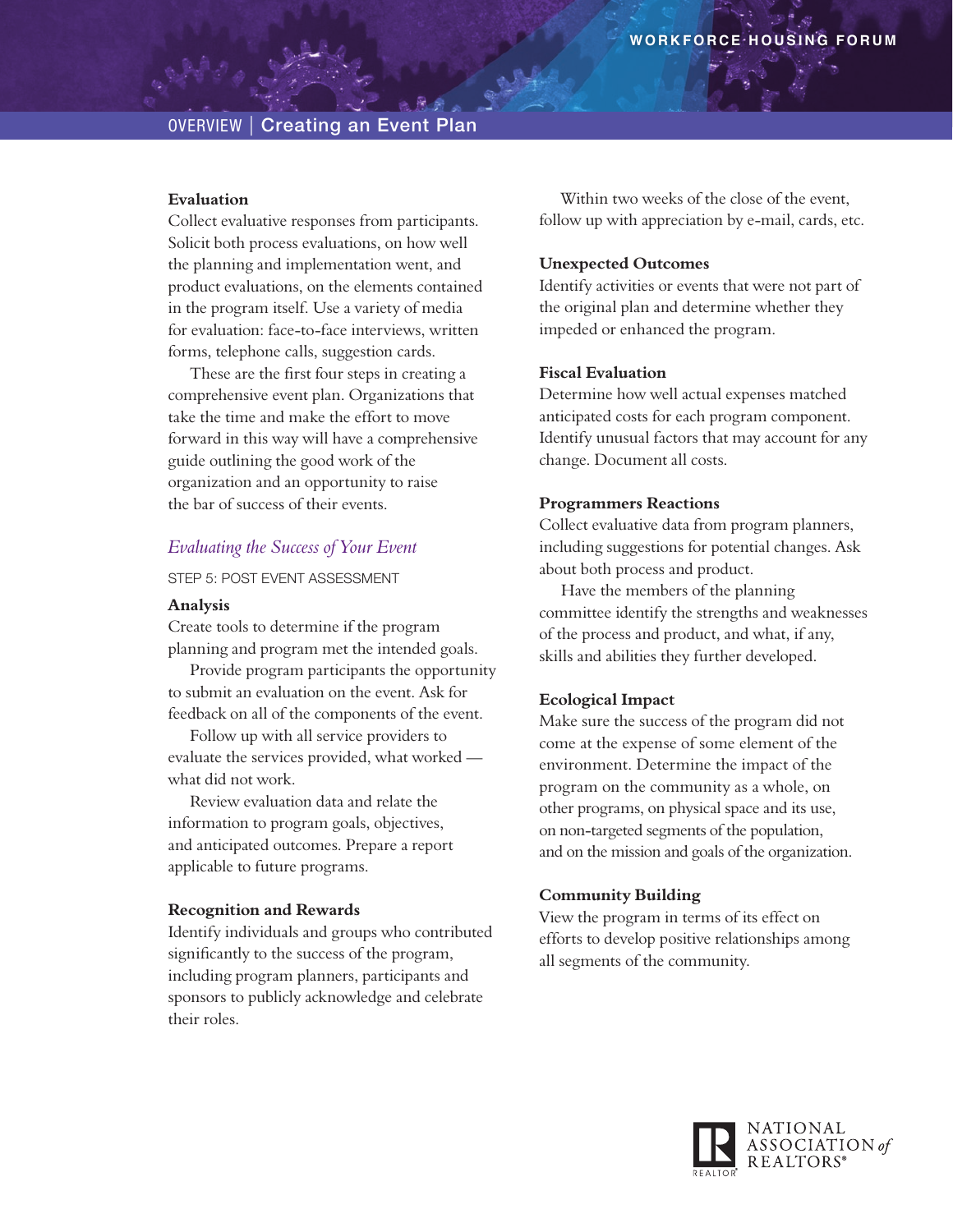## **Evaluation**

Collect evaluative responses from participants. Solicit both process evaluations, on how well the planning and implementation went, and product evaluations, on the elements contained in the program itself. Use a variety of media for evaluation: face-to-face interviews, written forms, telephone calls, suggestion cards.

These are the first four steps in creating a comprehensive event plan. Organizations that take the time and make the effort to move forward in this way will have a comprehensive guide outlining the good work of the organization and an opportunity to raise the bar of success of their events.

## *Evaluating the Success of Your Event*

Step 5: Post Event Assessment

#### **Analysis**

Create tools to determine if the program planning and program met the intended goals.

Provide program participants the opportunity to submit an evaluation on the event. Ask for feedback on all of the components of the event.

Follow up with all service providers to evaluate the services provided, what worked what did not work.

Review evaluation data and relate the information to program goals, objectives, and anticipated outcomes. Prepare a report applicable to future programs.

#### **Recognition and Rewards**

Identify individuals and groups who contributed significantly to the success of the program, including program planners, participants and sponsors to publicly acknowledge and celebrate their roles.

Within two weeks of the close of the event, follow up with appreciation by e-mail, cards, etc.

## **Unexpected Outcomes**

Identify activities or events that were not part of the original plan and determine whether they impeded or enhanced the program.

## **Fiscal Evaluation**

Determine how well actual expenses matched anticipated costs for each program component. Identify unusual factors that may account for any change. Document all costs.

## **Programmers Reactions**

Collect evaluative data from program planners, including suggestions for potential changes. Ask about both process and product.

Have the members of the planning committee identify the strengths and weaknesses of the process and product, and what, if any, skills and abilities they further developed.

## **Ecological Impact**

Make sure the success of the program did not come at the expense of some element of the environment. Determine the impact of the program on the community as a whole, on other programs, on physical space and its use, on non-targeted segments of the population, and on the mission and goals of the organization.

#### **Community Building**

View the program in terms of its effect on efforts to develop positive relationships among all segments of the community.